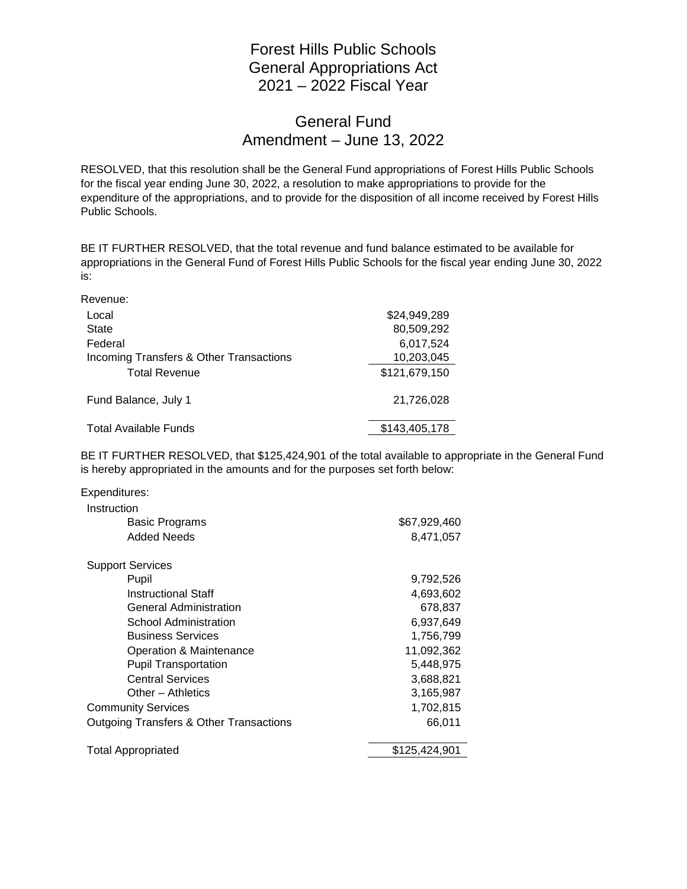## Forest Hills Public Schools General Appropriations Act 2021 – 2022 Fiscal Year

## General Fund Amendment – June 13, 2022

RESOLVED, that this resolution shall be the General Fund appropriations of Forest Hills Public Schools for the fiscal year ending June 30, 2022, a resolution to make appropriations to provide for the expenditure of the appropriations, and to provide for the disposition of all income received by Forest Hills Public Schools.

BE IT FURTHER RESOLVED, that the total revenue and fund balance estimated to be available for appropriations in the General Fund of Forest Hills Public Schools for the fiscal year ending June 30, 2022 is:

Revenue:

| Local                                   | \$24,949,289  |
|-----------------------------------------|---------------|
| <b>State</b>                            | 80,509,292    |
| Federal                                 | 6,017,524     |
| Incoming Transfers & Other Transactions | 10,203,045    |
| <b>Total Revenue</b>                    | \$121,679,150 |
| Fund Balance, July 1                    | 21.726.028    |
| <b>Total Available Funds</b>            | \$143,405,178 |

BE IT FURTHER RESOLVED, that \$125,424,901 of the total available to appropriate in the General Fund is hereby appropriated in the amounts and for the purposes set forth below:

| Expenditures:                                      |               |
|----------------------------------------------------|---------------|
| Instruction                                        |               |
| <b>Basic Programs</b>                              | \$67,929,460  |
| Added Needs                                        | 8,471,057     |
| <b>Support Services</b>                            |               |
| Pupil                                              | 9,792,526     |
| <b>Instructional Staff</b>                         | 4,693,602     |
| <b>General Administration</b>                      | 678,837       |
| School Administration                              | 6,937,649     |
| <b>Business Services</b>                           | 1,756,799     |
| Operation & Maintenance                            | 11,092,362    |
| <b>Pupil Transportation</b>                        | 5,448,975     |
| <b>Central Services</b>                            | 3,688,821     |
| Other - Athletics                                  | 3,165,987     |
| <b>Community Services</b>                          | 1,702,815     |
| <b>Outgoing Transfers &amp; Other Transactions</b> | 66,011        |
| <b>Total Appropriated</b>                          | \$125,424,901 |
|                                                    |               |